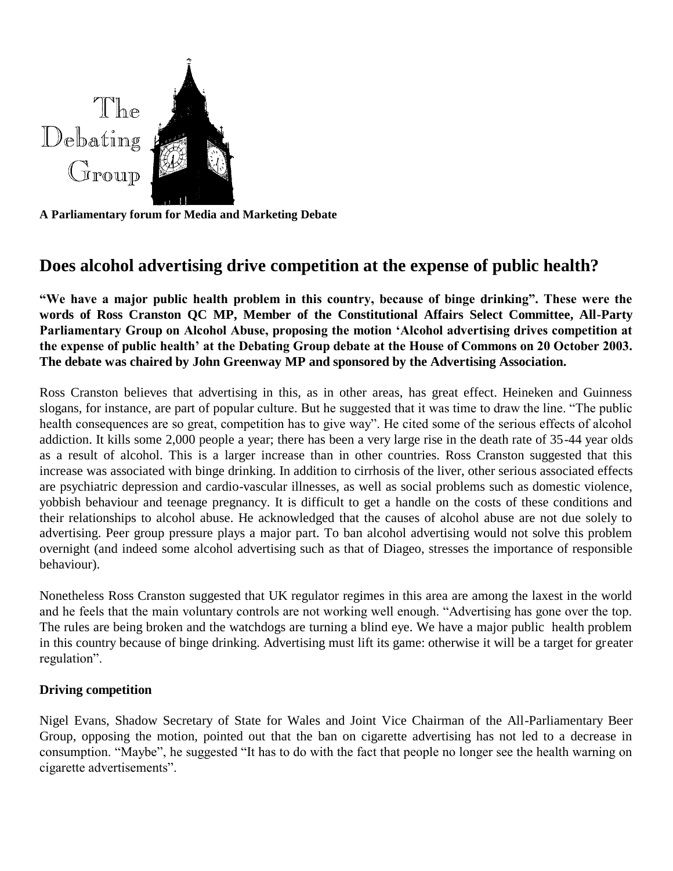

**A Parliamentary forum for Media and Marketing Debate**

# **Does alcohol advertising drive competition at the expense of public health?**

**"We have a major public health problem in this country, because of binge drinking". These were the words of Ross Cranston QC MP, Member of the Constitutional Affairs Select Committee, All-Party Parliamentary Group on Alcohol Abuse, proposing the motion 'Alcohol advertising drives competition at the expense of public health' at the Debating Group debate at the House of Commons on 20 October 2003. The debate was chaired by John Greenway MP and sponsored by the Advertising Association.**

Ross Cranston believes that advertising in this, as in other areas, has great effect. Heineken and Guinness slogans, for instance, are part of popular culture. But he suggested that it was time to draw the line. "The public health consequences are so great, competition has to give way". He cited some of the serious effects of alcohol addiction. It kills some 2,000 people a year; there has been a very large rise in the death rate of 35-44 year olds as a result of alcohol. This is a larger increase than in other countries. Ross Cranston suggested that this increase was associated with binge drinking. In addition to cirrhosis of the liver, other serious associated effects are psychiatric depression and cardio-vascular illnesses, as well as social problems such as domestic violence, yobbish behaviour and teenage pregnancy. It is difficult to get a handle on the costs of these conditions and their relationships to alcohol abuse. He acknowledged that the causes of alcohol abuse are not due solely to advertising. Peer group pressure plays a major part. To ban alcohol advertising would not solve this problem overnight (and indeed some alcohol advertising such as that of Diageo, stresses the importance of responsible behaviour).

Nonetheless Ross Cranston suggested that UK regulator regimes in this area are among the laxest in the world and he feels that the main voluntary controls are not working well enough. "Advertising has gone over the top. The rules are being broken and the watchdogs are turning a blind eye. We have a major public health problem in this country because of binge drinking. Advertising must lift its game: otherwise it will be a target for greater regulation".

## **Driving competition**

Nigel Evans, Shadow Secretary of State for Wales and Joint Vice Chairman of the All-Parliamentary Beer Group, opposing the motion, pointed out that the ban on cigarette advertising has not led to a decrease in consumption. "Maybe", he suggested "It has to do with the fact that people no longer see the health warning on cigarette advertisements".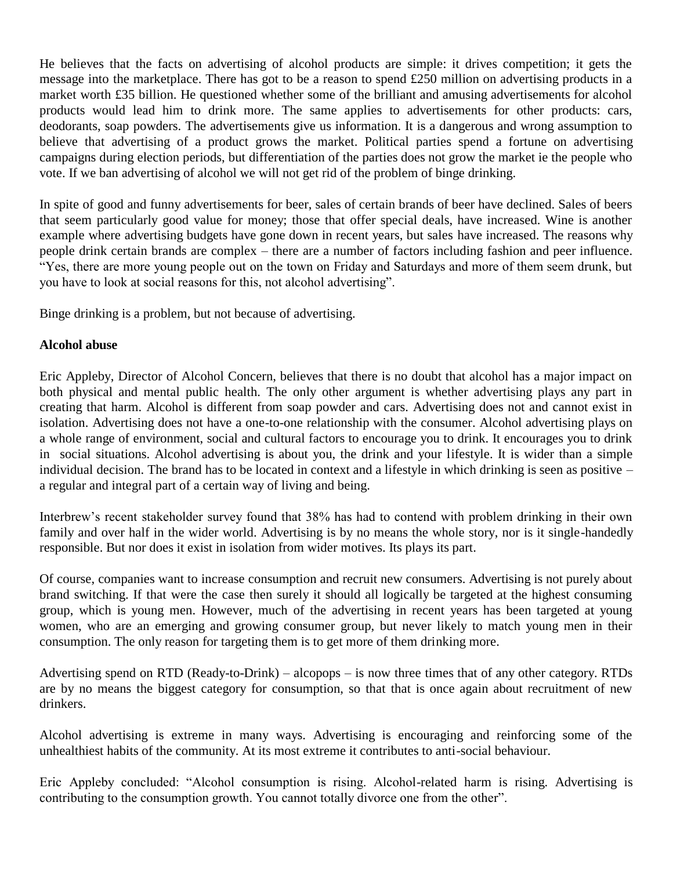He believes that the facts on advertising of alcohol products are simple: it drives competition; it gets the message into the marketplace. There has got to be a reason to spend £250 million on advertising products in a market worth £35 billion. He questioned whether some of the brilliant and amusing advertisements for alcohol products would lead him to drink more. The same applies to advertisements for other products: cars, deodorants, soap powders. The advertisements give us information. It is a dangerous and wrong assumption to believe that advertising of a product grows the market. Political parties spend a fortune on advertising campaigns during election periods, but differentiation of the parties does not grow the market ie the people who vote. If we ban advertising of alcohol we will not get rid of the problem of binge drinking.

In spite of good and funny advertisements for beer, sales of certain brands of beer have declined. Sales of beers that seem particularly good value for money; those that offer special deals, have increased. Wine is another example where advertising budgets have gone down in recent years, but sales have increased. The reasons why people drink certain brands are complex – there are a number of factors including fashion and peer influence. "Yes, there are more young people out on the town on Friday and Saturdays and more of them seem drunk, but you have to look at social reasons for this, not alcohol advertising".

Binge drinking is a problem, but not because of advertising.

## **Alcohol abuse**

Eric Appleby, Director of Alcohol Concern, believes that there is no doubt that alcohol has a major impact on both physical and mental public health. The only other argument is whether advertising plays any part in creating that harm. Alcohol is different from soap powder and cars. Advertising does not and cannot exist in isolation. Advertising does not have a one-to-one relationship with the consumer. Alcohol advertising plays on a whole range of environment, social and cultural factors to encourage you to drink. It encourages you to drink in social situations. Alcohol advertising is about you, the drink and your lifestyle. It is wider than a simple individual decision. The brand has to be located in context and a lifestyle in which drinking is seen as positive – a regular and integral part of a certain way of living and being.

Interbrew's recent stakeholder survey found that 38% has had to contend with problem drinking in their own family and over half in the wider world. Advertising is by no means the whole story, nor is it single-handedly responsible. But nor does it exist in isolation from wider motives. Its plays its part.

Of course, companies want to increase consumption and recruit new consumers. Advertising is not purely about brand switching. If that were the case then surely it should all logically be targeted at the highest consuming group, which is young men. However, much of the advertising in recent years has been targeted at young women, who are an emerging and growing consumer group, but never likely to match young men in their consumption. The only reason for targeting them is to get more of them drinking more.

Advertising spend on RTD (Ready-to-Drink) – alcopops – is now three times that of any other category. RTDs are by no means the biggest category for consumption, so that that is once again about recruitment of new drinkers.

Alcohol advertising is extreme in many ways. Advertising is encouraging and reinforcing some of the unhealthiest habits of the community. At its most extreme it contributes to anti-social behaviour.

Eric Appleby concluded: "Alcohol consumption is rising. Alcohol-related harm is rising. Advertising is contributing to the consumption growth. You cannot totally divorce one from the other".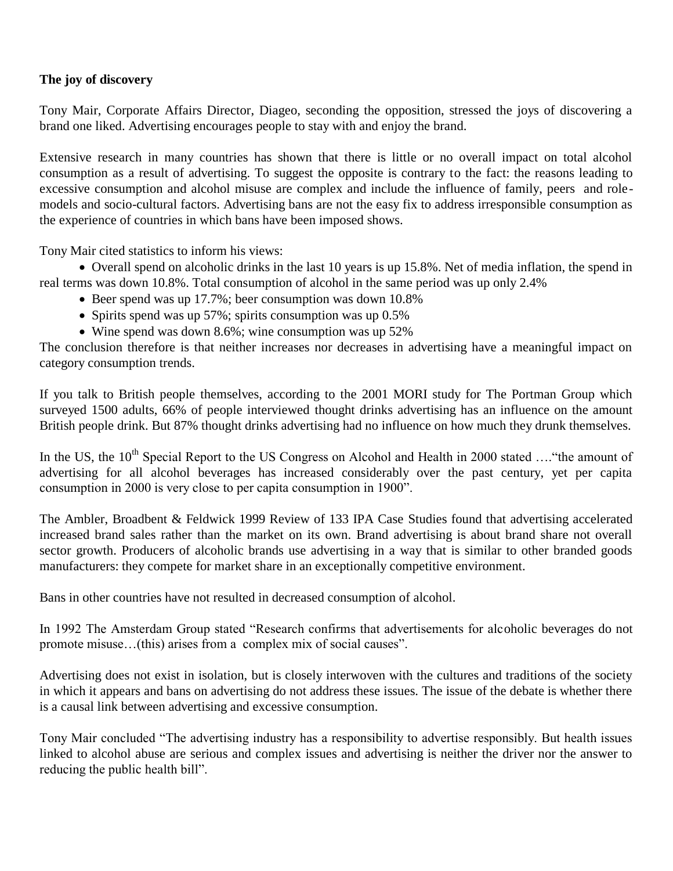# **The joy of discovery**

Tony Mair, Corporate Affairs Director, Diageo, seconding the opposition, stressed the joys of discovering a brand one liked. Advertising encourages people to stay with and enjoy the brand.

Extensive research in many countries has shown that there is little or no overall impact on total alcohol consumption as a result of advertising. To suggest the opposite is contrary to the fact: the reasons leading to excessive consumption and alcohol misuse are complex and include the influence of family, peers and rolemodels and socio-cultural factors. Advertising bans are not the easy fix to address irresponsible consumption as the experience of countries in which bans have been imposed shows.

Tony Mair cited statistics to inform his views:

 Overall spend on alcoholic drinks in the last 10 years is up 15.8%. Net of media inflation, the spend in real terms was down 10.8%. Total consumption of alcohol in the same period was up only 2.4%

- Beer spend was up 17.7%; beer consumption was down 10.8%
- Spirits spend was up  $57\%$ ; spirits consumption was up  $0.5\%$
- Wine spend was down 8.6%; wine consumption was up 52%

The conclusion therefore is that neither increases nor decreases in advertising have a meaningful impact on category consumption trends.

If you talk to British people themselves, according to the 2001 MORI study for The Portman Group which surveyed 1500 adults, 66% of people interviewed thought drinks advertising has an influence on the amount British people drink. But 87% thought drinks advertising had no influence on how much they drunk themselves.

In the US, the 10<sup>th</sup> Special Report to the US Congress on Alcohol and Health in 2000 stated ...."the amount of advertising for all alcohol beverages has increased considerably over the past century, yet per capita consumption in 2000 is very close to per capita consumption in 1900".

The Ambler, Broadbent & Feldwick 1999 Review of 133 IPA Case Studies found that advertising accelerated increased brand sales rather than the market on its own. Brand advertising is about brand share not overall sector growth. Producers of alcoholic brands use advertising in a way that is similar to other branded goods manufacturers: they compete for market share in an exceptionally competitive environment.

Bans in other countries have not resulted in decreased consumption of alcohol.

In 1992 The Amsterdam Group stated "Research confirms that advertisements for alcoholic beverages do not promote misuse…(this) arises from a complex mix of social causes".

Advertising does not exist in isolation, but is closely interwoven with the cultures and traditions of the society in which it appears and bans on advertising do not address these issues. The issue of the debate is whether there is a causal link between advertising and excessive consumption.

Tony Mair concluded "The advertising industry has a responsibility to advertise responsibly. But health issues linked to alcohol abuse are serious and complex issues and advertising is neither the driver nor the answer to reducing the public health bill".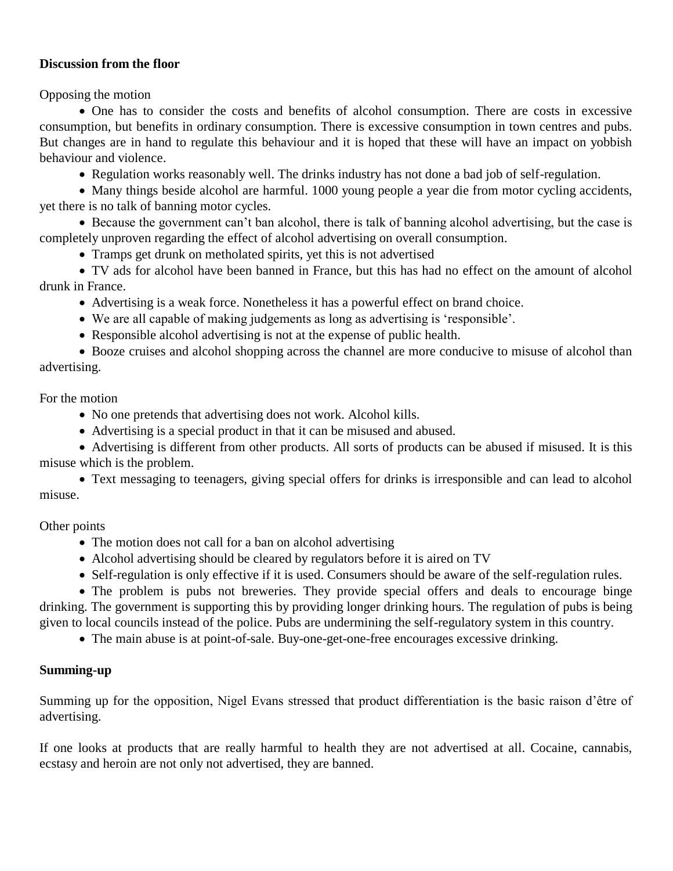## **Discussion from the floor**

Opposing the motion

 One has to consider the costs and benefits of alcohol consumption. There are costs in excessive consumption, but benefits in ordinary consumption. There is excessive consumption in town centres and pubs. But changes are in hand to regulate this behaviour and it is hoped that these will have an impact on yobbish behaviour and violence.

Regulation works reasonably well. The drinks industry has not done a bad job of self-regulation.

 Many things beside alcohol are harmful. 1000 young people a year die from motor cycling accidents, yet there is no talk of banning motor cycles.

 Because the government can't ban alcohol, there is talk of banning alcohol advertising, but the case is completely unproven regarding the effect of alcohol advertising on overall consumption.

Tramps get drunk on metholated spirits, yet this is not advertised

 TV ads for alcohol have been banned in France, but this has had no effect on the amount of alcohol drunk in France.

Advertising is a weak force. Nonetheless it has a powerful effect on brand choice.

- We are all capable of making judgements as long as advertising is 'responsible'.
- Responsible alcohol advertising is not at the expense of public health.

• Booze cruises and alcohol shopping across the channel are more conducive to misuse of alcohol than advertising.

For the motion

- No one pretends that advertising does not work. Alcohol kills.
- Advertising is a special product in that it can be misused and abused.

 Advertising is different from other products. All sorts of products can be abused if misused. It is this misuse which is the problem.

 Text messaging to teenagers, giving special offers for drinks is irresponsible and can lead to alcohol misuse.

Other points

- The motion does not call for a ban on alcohol advertising
- Alcohol advertising should be cleared by regulators before it is aired on TV
- Self-regulation is only effective if it is used. Consumers should be aware of the self-regulation rules.

 The problem is pubs not breweries. They provide special offers and deals to encourage binge drinking. The government is supporting this by providing longer drinking hours. The regulation of pubs is being given to local councils instead of the police. Pubs are undermining the self-regulatory system in this country.

The main abuse is at point-of-sale. Buy-one-get-one-free encourages excessive drinking.

## **Summing-up**

Summing up for the opposition, Nigel Evans stressed that product differentiation is the basic raison d'être of advertising.

If one looks at products that are really harmful to health they are not advertised at all. Cocaine, cannabis, ecstasy and heroin are not only not advertised, they are banned.